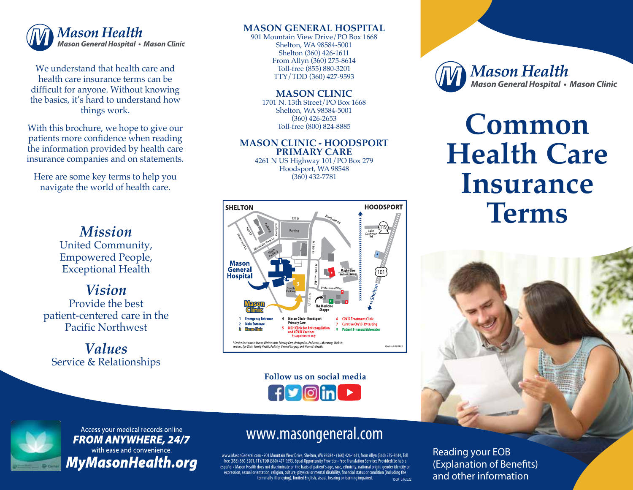

We understand that health care and health care insurance terms can be difficult for anyone. Without knowing the basics, it's hard to understand how things work.

With this brochure, we hope to give our patients more confidence when reading the information provided by health care insurance companies and on statements.

Here are some key terms to help you navigate the world of health care.

### *Mission* United Community, Empowered People, Exceptional Health

*Vision* Provide the best patient-centered care in the Pacific Northwest

*Values* Service & Relationships

#### **MASON GENERAL HOSPITAL**

901 Mountain View Drive/PO Box 1668 Shelton, WA 98584-5001 Shelton (360) 426-1611 From Allyn (360) 275-8614 Toll-free (855) 880-3201 TTY/TDD (360) 427-9593

**MASON CLINIC** 1701 N. 13th Street/PO Box 1668 Shelton, WA 98584-5001

(360) 426-2653 Toll-free (800) 824-8885

#### **MASON CLINIC - HOODSPORT PRIMARY CARE** 4261 N US Highway 101/PO Box 279

Hoodsport, WA 98548 (360) 432-7781



Follow us on social media **fy** Oin



Access your medical records online **FROM ANYWHERE, 24/7** with ease and convenience. **MyMasonHealth.org** 

## www.masongeneral.com

www.MasonGeneral.com • 901 Mountain View Drive, Shelton, WA 98584 • (360) 426-1611, from Allyn (360) 275-8614, Toll free (855) 880-3201, TTY/TDD (360) 427-9593. Equal Opportunity Provider • Free Translation Services Provided/Se habla español • Mason Health does not discriminate on the basis of patient's age, race, ethnicity, national origin, gender identity or .<br>expression, sexual orientation, religion, culture, physical or mental disability, financial status or condition (including the terminally ill or dying), limited English, visual, hearing or learning impaired. 1500 03/2022 **Mason Health Mason General Hospital • Mason Clinic** 

# **Common Health Care Insurance Terms**



Reading your EOB (Explanation of Benefits) and other information